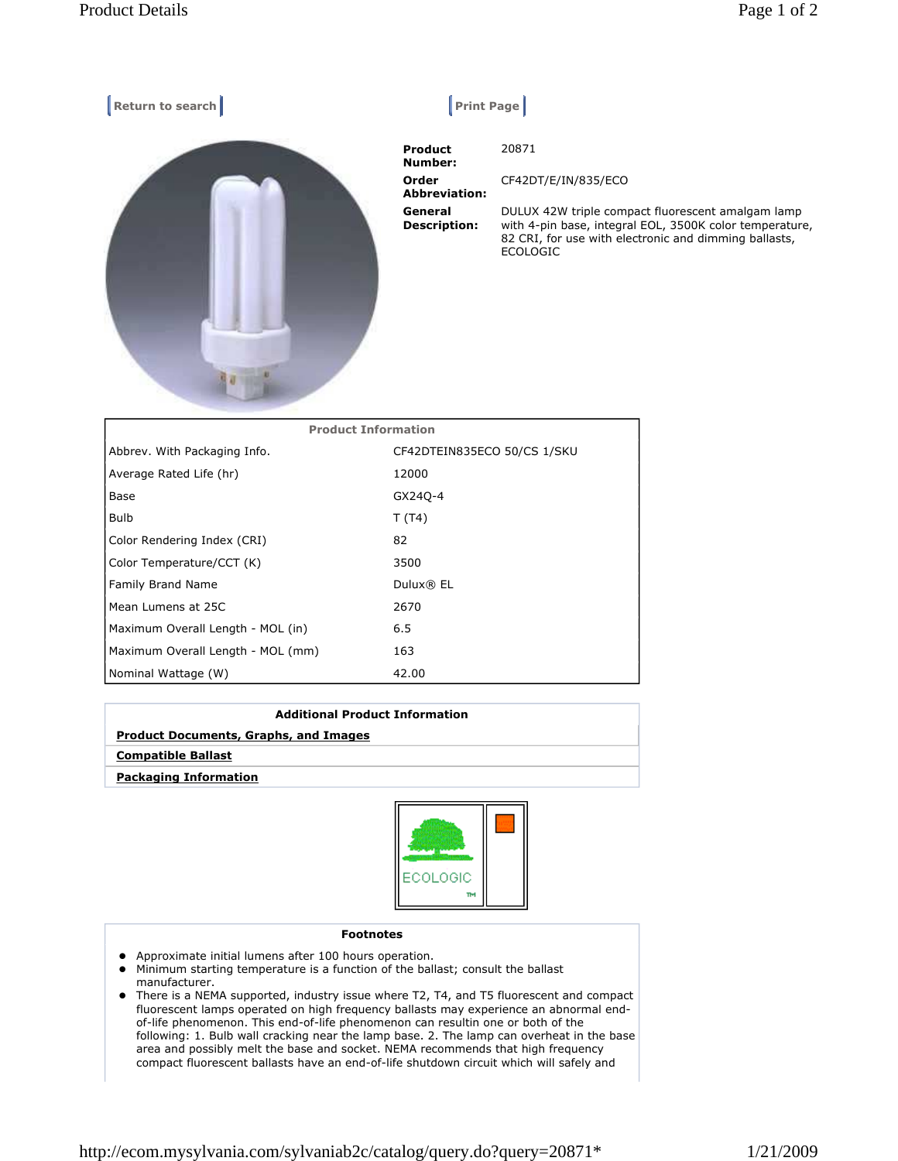| Return to search           | <b>Print Page</b>              |                                                                                                                                                                                          |
|----------------------------|--------------------------------|------------------------------------------------------------------------------------------------------------------------------------------------------------------------------------------|
|                            | Product<br>Number:             | 20871                                                                                                                                                                                    |
|                            | Order<br><b>Abbreviation:</b>  | CF42DT/E/IN/835/ECO                                                                                                                                                                      |
|                            | General<br><b>Description:</b> | DULUX 42W triple compact fluorescent amalgam lamp<br>with 4-pin base, integral EOL, 3500K color temperature,<br>82 CRI, for use with electronic and dimming ballasts,<br><b>ECOLOGIC</b> |
| <b>Product Information</b> |                                |                                                                                                                                                                                          |

| <b>FIVUULL IIIIVIIIIQLIVII</b>    |                             |  |
|-----------------------------------|-----------------------------|--|
| Abbrev. With Packaging Info.      | CF42DTEIN835ECO 50/CS 1/SKU |  |
| Average Rated Life (hr)           | 12000                       |  |
| Base                              | GX240-4                     |  |
| <b>Bulb</b>                       | T(T4)                       |  |
| Color Rendering Index (CRI)       | 82                          |  |
| Color Temperature/CCT (K)         | 3500                        |  |
| <b>Family Brand Name</b>          | Dulux® EL                   |  |
| Mean Lumens at 25C                | 2670                        |  |
| Maximum Overall Length - MOL (in) | 6.5                         |  |
| Maximum Overall Length - MOL (mm) | 163                         |  |
| Nominal Wattage (W)               | 42.00                       |  |

| <b>Additional Product Information</b>        |
|----------------------------------------------|
| <b>Product Documents, Graphs, and Images</b> |
| <b>Compatible Ballast</b>                    |
| <b>Packaging Information</b>                 |



## Footnotes

- Approximate initial lumens after 100 hours operation.
- Minimum starting temperature is a function of the ballast; consult the ballast manufacturer.
- There is a NEMA supported, industry issue where T2, T4, and T5 fluorescent and compact fluorescent lamps operated on high frequency ballasts may experience an abnormal endof-life phenomenon. This end-of-life phenomenon can resultin one or both of the following: 1. Bulb wall cracking near the lamp base. 2. The lamp can overheat in the base area and possibly melt the base and socket. NEMA recommends that high frequency compact fluorescent ballasts have an end-of-life shutdown circuit which will safely and